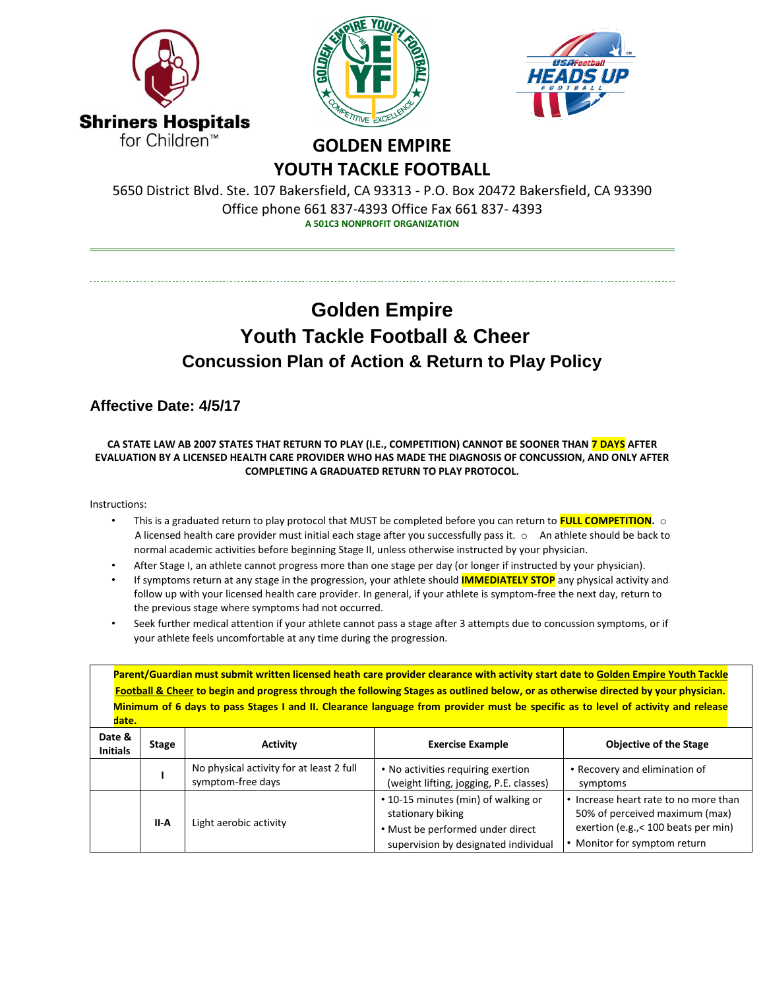





## **GOLDEN EMPIRE YOUTH TACKLE FOOTBALL**

5650 District Blvd. Ste. 107 Bakersfield, CA 93313 - P.O. Box 20472 Bakersfield, CA 93390 Office phone 661 837-4393 Office Fax 661 837- 4393 **A 501C3 NONPROFIT ORGANIZATION**

## **Golden Empire Youth Tackle Football & Cheer Concussion Plan of Action & Return to Play Policy**

## **Affective Date: 4/5/17**

## **CA STATE LAW AB 2007 STATES THAT RETURN TO PLAY (I.E., COMPETITION) CANNOT BE SOONER THAN 7 DAYS AFTER EVALUATION BY A LICENSED HEALTH CARE PROVIDER WHO HAS MADE THE DIAGNOSIS OF CONCUSSION, AND ONLY AFTER COMPLETING A GRADUATED RETURN TO PLAY PROTOCOL.**

Instructions:

- This is a graduated return to play protocol that MUST be completed before you can return to **FULL COMPETITION.** o A licensed health care provider must initial each stage after you successfully pass it. o An athlete should be back to normal academic activities before beginning Stage II, unless otherwise instructed by your physician.
- After Stage I, an athlete cannot progress more than one stage per day (or longer if instructed by your physician).
- If symptoms return at any stage in the progression, your athlete should **IMMEDIATELY STOP** any physical activity and follow up with your licensed health care provider. In general, if your athlete is symptom-free the next day, return to the previous stage where symptoms had not occurred.
- Seek further medical attention if your athlete cannot pass a stage after 3 attempts due to concussion symptoms, or if your athlete feels uncomfortable at any time during the progression.

| Parent/Guardian must submit written licensed heath care provider clearance with activity start date to Golden Empire Youth Tackle<br>Football & Cheer to begin and progress through the following Stages as outlined below, or as otherwise directed by your physician.<br>Minimum of 6 days to pass Stages I and II. Clearance language from provider must be specific as to level of activity and release<br>date. |              |                                                               |                                                                                                                                      |                                                                                                                                                 |  |  |
|----------------------------------------------------------------------------------------------------------------------------------------------------------------------------------------------------------------------------------------------------------------------------------------------------------------------------------------------------------------------------------------------------------------------|--------------|---------------------------------------------------------------|--------------------------------------------------------------------------------------------------------------------------------------|-------------------------------------------------------------------------------------------------------------------------------------------------|--|--|
| Date &<br><b>Initials</b>                                                                                                                                                                                                                                                                                                                                                                                            | <b>Stage</b> | <b>Activity</b>                                               | <b>Exercise Example</b>                                                                                                              | <b>Objective of the Stage</b>                                                                                                                   |  |  |
|                                                                                                                                                                                                                                                                                                                                                                                                                      |              | No physical activity for at least 2 full<br>symptom-free days | • No activities requiring exertion<br>(weight lifting, jogging, P.E. classes)                                                        | • Recovery and elimination of<br>symptoms                                                                                                       |  |  |
|                                                                                                                                                                                                                                                                                                                                                                                                                      | II-A         | Light aerobic activity                                        | • 10-15 minutes (min) of walking or<br>stationary biking<br>• Must be performed under direct<br>supervision by designated individual | • Increase heart rate to no more than<br>50% of perceived maximum (max)<br>exertion (e.g., < 100 beats per min)<br>• Monitor for symptom return |  |  |